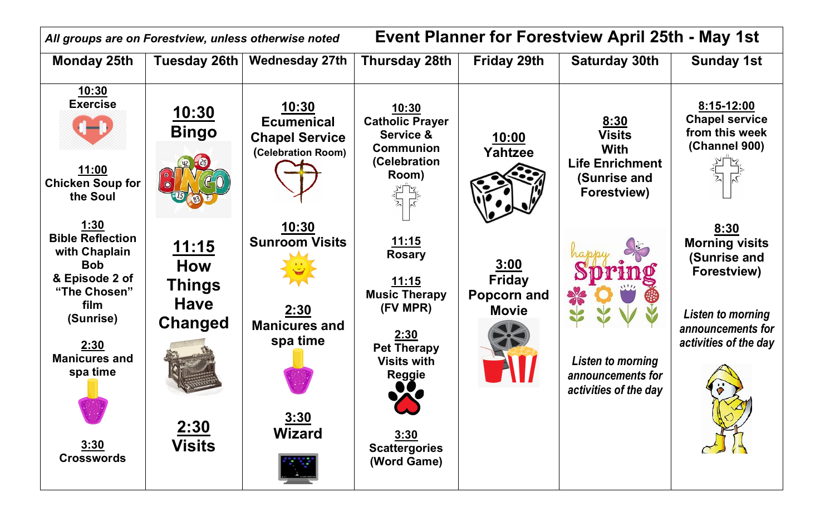